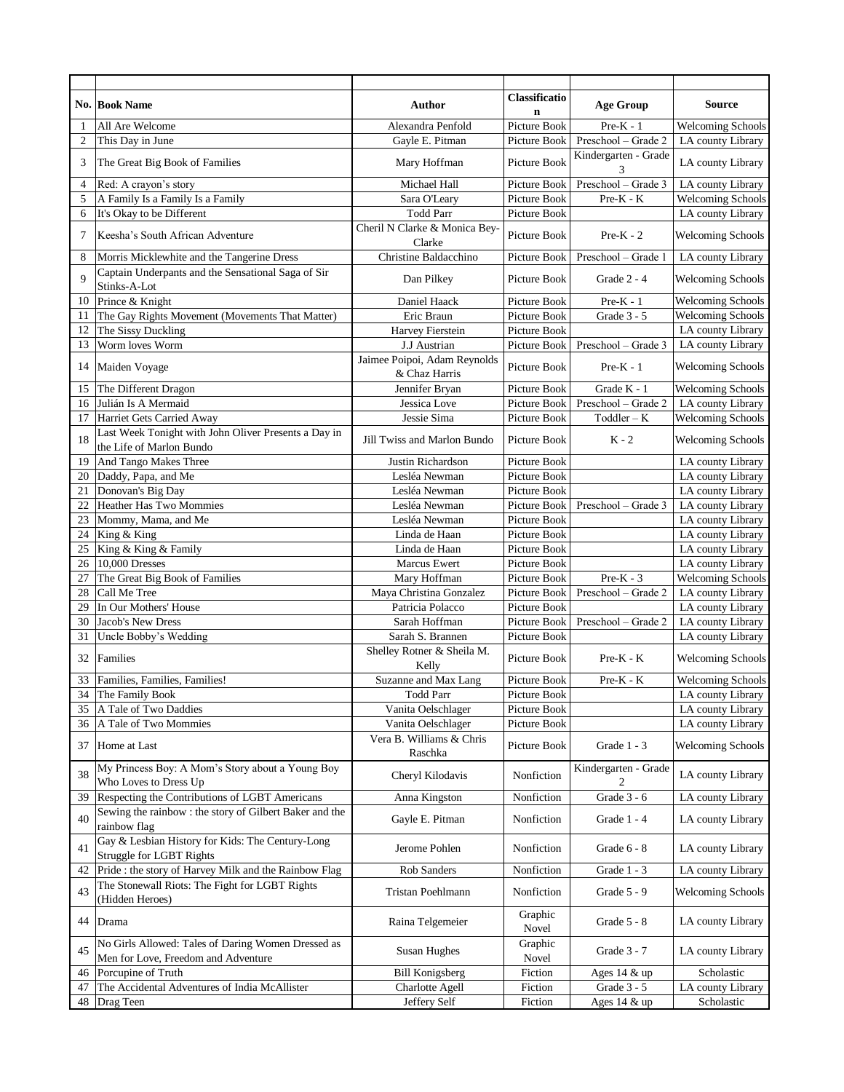|          |                                                                                           |                                               | <b>Classificatio</b>         |                           |                                        |
|----------|-------------------------------------------------------------------------------------------|-----------------------------------------------|------------------------------|---------------------------|----------------------------------------|
|          | <b>No. Book Name</b>                                                                      | <b>Author</b>                                 | n                            | <b>Age Group</b>          | <b>Source</b>                          |
| 1        | All Are Welcome                                                                           | Alexandra Penfold                             | Picture Book                 | $Pre-K - 1$               | <b>Welcoming Schools</b>               |
| 2        | This Day in June                                                                          | Gayle E. Pitman                               | Picture Book                 | Preschool - Grade 2       | LA county Library                      |
| 3        | The Great Big Book of Families                                                            | Mary Hoffman                                  | <b>Picture Book</b>          | Kindergarten - Grade<br>3 | LA county Library                      |
| 4        | Red: A crayon's story                                                                     | Michael Hall                                  | Picture Book                 | Preschool - Grade 3       | LA county Library                      |
| 5        | A Family Is a Family Is a Family                                                          | Sara O'Leary                                  | Picture Book                 | $Pre-K - K$               | <b>Welcoming Schools</b>               |
| 6        | It's Okay to be Different                                                                 | <b>Todd Parr</b>                              | Picture Book                 |                           | LA county Library                      |
| 7        | Keesha's South African Adventure                                                          | Cheril N Clarke & Monica Bey-<br>Clarke       | Picture Book                 | $Pre-K - 2$               | <b>Welcoming Schools</b>               |
| 8        | Morris Micklewhite and the Tangerine Dress                                                | Christine Baldacchino                         | Picture Book                 | Preschool - Grade 1       | LA county Library                      |
| 9        | Captain Underpants and the Sensational Saga of Sir<br>Stinks-A-Lot                        | Dan Pilkey                                    | Picture Book                 | Grade 2 - 4               | <b>Welcoming Schools</b>               |
| 10       | Prince & Knight                                                                           | Daniel Haack                                  | Picture Book                 | $Pre-K - 1$               | <b>Welcoming Schools</b>               |
| 11       | The Gay Rights Movement (Movements That Matter)                                           | Eric Braun                                    | Picture Book                 | Grade 3 - 5               | <b>Welcoming Schools</b>               |
| 12       | The Sissy Duckling                                                                        | Harvey Fierstein                              | Picture Book                 |                           | LA county Library                      |
| 13       | Worm loves Worm                                                                           | J.J Austrian                                  | Picture Book                 | Preschool - Grade 3       | LA county Library                      |
| 14       | Maiden Voyage                                                                             | Jaimee Poipoi, Adam Reynolds<br>& Chaz Harris | Picture Book                 | $Pre-K - 1$               | <b>Welcoming Schools</b>               |
| 15       | The Different Dragon                                                                      | Jennifer Bryan                                | Picture Book                 | Grade K - 1               | <b>Welcoming Schools</b>               |
| 16       | Julián Is A Mermaid                                                                       | Jessica Love                                  | Picture Book                 | Preschool - Grade 2       | LA county Library                      |
| 17       | Harriet Gets Carried Away                                                                 | Jessie Sima                                   | Picture Book                 | $Toddler - K$             | <b>Welcoming Schools</b>               |
| 18       | Last Week Tonight with John Oliver Presents a Day in<br>the Life of Marlon Bundo          | Jill Twiss and Marlon Bundo                   | Picture Book                 | $K - 2$                   | <b>Welcoming Schools</b>               |
| 19       | And Tango Makes Three                                                                     | Justin Richardson                             | Picture Book                 |                           | LA county Library                      |
| 20       | Daddy, Papa, and Me                                                                       | Lesléa Newman                                 | Picture Book                 |                           | LA county Library                      |
| 21       | Donovan's Big Day                                                                         | Lesléa Newman                                 | Picture Book                 |                           | LA county Library                      |
| 22       | <b>Heather Has Two Mommies</b>                                                            | Lesléa Newman                                 | Picture Book                 | Preschool - Grade 3       | LA county Library                      |
| 23       | Mommy, Mama, and Me                                                                       | Lesléa Newman                                 | Picture Book                 |                           | LA county Library                      |
| 24       | King & King                                                                               | Linda de Haan                                 | Picture Book                 |                           | LA county Library                      |
| 25<br>26 | King & King & Family<br>10,000 Dresses                                                    | Linda de Haan                                 | Picture Book                 |                           | LA county Library<br>LA county Library |
| 27       | The Great Big Book of Families                                                            | Marcus Ewert<br>Mary Hoffman                  | Picture Book<br>Picture Book | $Pre-K - 3$               | <b>Welcoming Schools</b>               |
| 28       | Call Me Tree                                                                              | Maya Christina Gonzalez                       | Picture Book                 | Preschool - Grade 2       | LA county Library                      |
| 29       | In Our Mothers' House                                                                     | Patricia Polacco                              | Picture Book                 |                           | LA county Library                      |
| 30       | Jacob's New Dress                                                                         | Sarah Hoffman                                 | Picture Book                 | Preschool - Grade 2       | LA county Library                      |
| 31       | Uncle Bobby's Wedding                                                                     | Sarah S. Brannen                              | Picture Book                 |                           | LA county Library                      |
| 32       | Families                                                                                  | Shelley Rotner & Sheila M.<br>Kelly           | Picture Book                 | $Pre-K-K$                 | <b>Welcoming Schools</b>               |
| 33       | Families, Families, Families!                                                             | Suzanne and Max Lang                          | Picture Book                 | Pre-K - K                 | <b>Welcoming Schools</b>               |
| 34       | The Family Book                                                                           | <b>Todd Parr</b>                              | Picture Book                 |                           | LA county Library                      |
| 35       | A Tale of Two Daddies                                                                     | Vanita Oelschlager                            | Picture Book                 |                           | LA county Library                      |
| 36       | A Tale of Two Mommies                                                                     | Vanita Oelschlager                            | Picture Book                 |                           | LA county Library                      |
| 37       | Home at Last                                                                              | Vera B. Williams & Chris<br>Raschka           | Picture Book                 | Grade 1 - 3               | <b>Welcoming Schools</b>               |
| 38       | My Princess Boy: A Mom's Story about a Young Boy<br>Who Loves to Dress Up                 | Cheryl Kilodavis                              | Nonfiction                   | Kindergarten - Grade<br>2 | LA county Library                      |
| 39       | Respecting the Contributions of LGBT Americans                                            | Anna Kingston                                 | Nonfiction                   | Grade 3 - 6               | LA county Library                      |
| 40       | Sewing the rainbow: the story of Gilbert Baker and the<br>rainbow flag                    | Gayle E. Pitman                               | Nonfiction                   | Grade 1 - 4               | LA county Library                      |
| 41       | Gay & Lesbian History for Kids: The Century-Long<br><b>Struggle for LGBT Rights</b>       | Jerome Pohlen                                 | Nonfiction                   | Grade 6 - 8               | LA county Library                      |
| 42       | Pride : the story of Harvey Milk and the Rainbow Flag                                     | Rob Sanders                                   | Nonfiction                   | Grade 1 - 3               | LA county Library                      |
| 43       | The Stonewall Riots: The Fight for LGBT Rights<br>(Hidden Heroes)                         | Tristan Poehlmann                             | Nonfiction                   | Grade 5 - 9               | <b>Welcoming Schools</b>               |
| 44       | Drama                                                                                     | Raina Telgemeier                              | Graphic<br>Novel             | Grade 5 - 8               | LA county Library                      |
| 45       | No Girls Allowed: Tales of Daring Women Dressed as<br>Men for Love, Freedom and Adventure | Susan Hughes                                  | Graphic<br>Novel             | Grade 3 - 7               | LA county Library                      |
| 46       | Porcupine of Truth                                                                        | <b>Bill Konigsberg</b>                        | Fiction                      | Ages 14 & up              | Scholastic                             |
| 47       | The Accidental Adventures of India McAllister                                             | Charlotte Agell                               | Fiction                      | Grade 3 - 5               | LA county Library                      |
| 48       | Drag Teen                                                                                 | Jeffery Self                                  | Fiction                      | Ages 14 & up              | Scholastic                             |